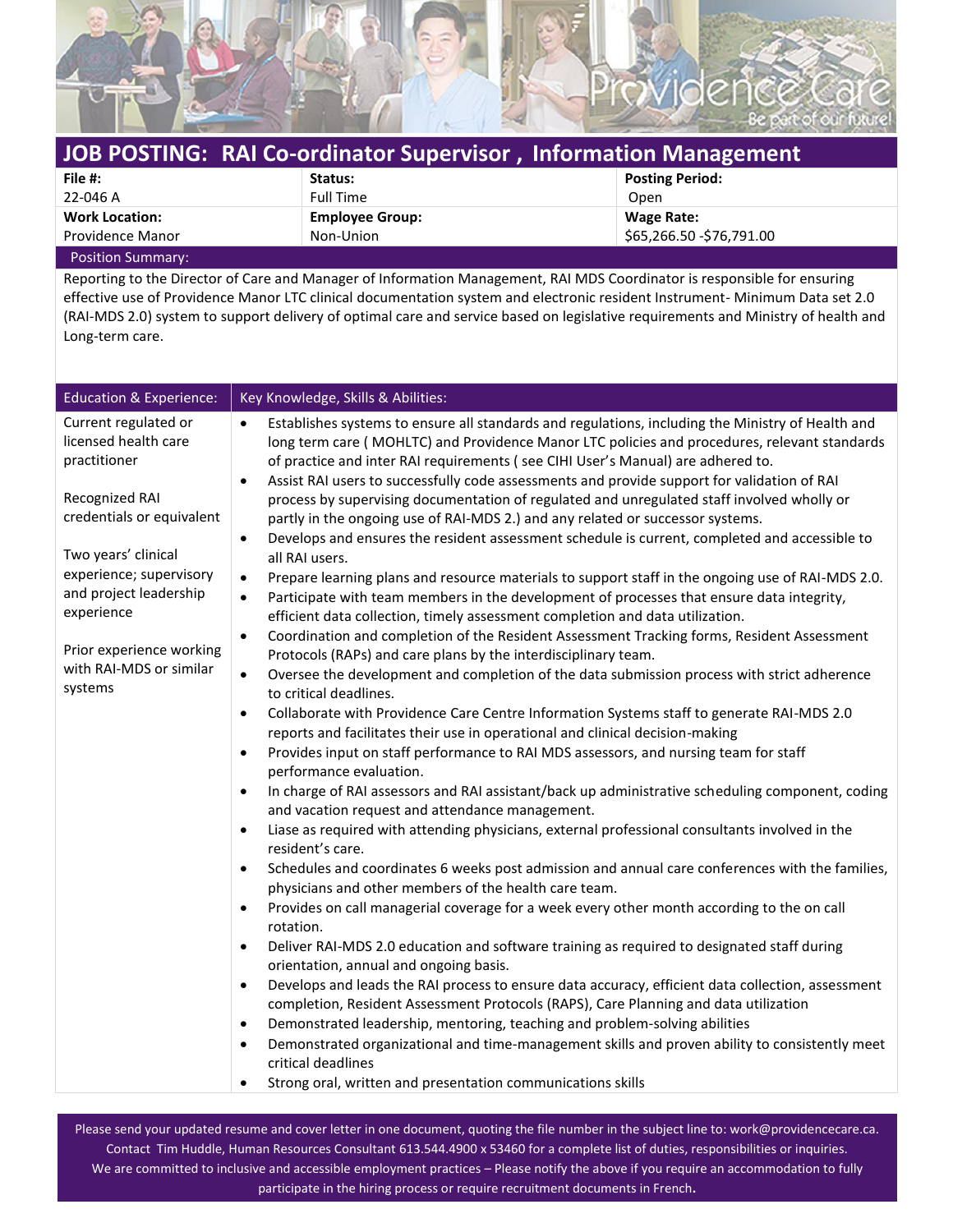

| JOB POSTING: RAI Co-ordinator Supervisor, Information Management |                        |                           |
|------------------------------------------------------------------|------------------------|---------------------------|
| File #:                                                          | Status:                | <b>Posting Period:</b>    |
| 22-046 A                                                         | <b>Full Time</b>       | Open                      |
| <b>Work Location:</b>                                            | <b>Employee Group:</b> | Wage Rate:                |
| <b>Providence Manor</b>                                          | Non-Union              | \$65,266.50 - \$76,791.00 |
| Docition Cummons                                                 |                        |                           |

Position Summary:

Reporting to the Director of Care and Manager of Information Management, RAI MDS Coordinator is responsible for ensuring effective use of Providence Manor LTC clinical documentation system and electronic resident Instrument- Minimum Data set 2.0 (RAI-MDS 2.0) system to support delivery of optimal care and service based on legislative requirements and Ministry of health and Long-term care.

| <b>Education &amp; Experience:</b>                                                                                                                                                                                                                                      | Key Knowledge, Skills & Abilities:                                                                                                                                                                                                                                                                                                                                                                                                                                                                                                                                                                                                                                                                                                                                                                                                                                                                                                                                                                                                                                                                                                                                                                                                                                                                                                                                                                                                                                                                                                                                                                                                                                                                                                                                                                                                                                                                                                                                                                                                                                                                                                                                                                                                                                                                                                                                                                                                                                                                                                                                                                                                                                                                                                                                                                                                                                                                                                                                          |
|-------------------------------------------------------------------------------------------------------------------------------------------------------------------------------------------------------------------------------------------------------------------------|-----------------------------------------------------------------------------------------------------------------------------------------------------------------------------------------------------------------------------------------------------------------------------------------------------------------------------------------------------------------------------------------------------------------------------------------------------------------------------------------------------------------------------------------------------------------------------------------------------------------------------------------------------------------------------------------------------------------------------------------------------------------------------------------------------------------------------------------------------------------------------------------------------------------------------------------------------------------------------------------------------------------------------------------------------------------------------------------------------------------------------------------------------------------------------------------------------------------------------------------------------------------------------------------------------------------------------------------------------------------------------------------------------------------------------------------------------------------------------------------------------------------------------------------------------------------------------------------------------------------------------------------------------------------------------------------------------------------------------------------------------------------------------------------------------------------------------------------------------------------------------------------------------------------------------------------------------------------------------------------------------------------------------------------------------------------------------------------------------------------------------------------------------------------------------------------------------------------------------------------------------------------------------------------------------------------------------------------------------------------------------------------------------------------------------------------------------------------------------------------------------------------------------------------------------------------------------------------------------------------------------------------------------------------------------------------------------------------------------------------------------------------------------------------------------------------------------------------------------------------------------------------------------------------------------------------------------------------------------|
| Current regulated or<br>licensed health care<br>practitioner<br>Recognized RAI<br>credentials or equivalent<br>Two years' clinical<br>experience; supervisory<br>and project leadership<br>experience<br>Prior experience working<br>with RAI-MDS or similar<br>systems | Establishes systems to ensure all standards and regulations, including the Ministry of Health and<br>$\bullet$<br>long term care (MOHLTC) and Providence Manor LTC policies and procedures, relevant standards<br>of practice and inter RAI requirements (see CIHI User's Manual) are adhered to.<br>Assist RAI users to successfully code assessments and provide support for validation of RAI<br>$\bullet$<br>process by supervising documentation of regulated and unregulated staff involved wholly or<br>partly in the ongoing use of RAI-MDS 2.) and any related or successor systems.<br>Develops and ensures the resident assessment schedule is current, completed and accessible to<br>$\bullet$<br>all RAI users.<br>Prepare learning plans and resource materials to support staff in the ongoing use of RAI-MDS 2.0.<br>$\bullet$<br>Participate with team members in the development of processes that ensure data integrity,<br>$\bullet$<br>efficient data collection, timely assessment completion and data utilization.<br>Coordination and completion of the Resident Assessment Tracking forms, Resident Assessment<br>$\bullet$<br>Protocols (RAPs) and care plans by the interdisciplinary team.<br>Oversee the development and completion of the data submission process with strict adherence<br>$\bullet$<br>to critical deadlines.<br>Collaborate with Providence Care Centre Information Systems staff to generate RAI-MDS 2.0<br>$\bullet$<br>reports and facilitates their use in operational and clinical decision-making<br>Provides input on staff performance to RAI MDS assessors, and nursing team for staff<br>$\bullet$<br>performance evaluation.<br>In charge of RAI assessors and RAI assistant/back up administrative scheduling component, coding<br>$\bullet$<br>and vacation request and attendance management.<br>Liase as required with attending physicians, external professional consultants involved in the<br>$\bullet$<br>resident's care.<br>Schedules and coordinates 6 weeks post admission and annual care conferences with the families,<br>$\bullet$<br>physicians and other members of the health care team.<br>Provides on call managerial coverage for a week every other month according to the on call<br>$\bullet$<br>rotation.<br>Deliver RAI-MDS 2.0 education and software training as required to designated staff during<br>$\bullet$<br>orientation, annual and ongoing basis.<br>Develops and leads the RAI process to ensure data accuracy, efficient data collection, assessment<br>$\bullet$<br>completion, Resident Assessment Protocols (RAPS), Care Planning and data utilization<br>Demonstrated leadership, mentoring, teaching and problem-solving abilities<br>$\bullet$<br>Demonstrated organizational and time-management skills and proven ability to consistently meet<br>$\bullet$<br>critical deadlines<br>Strong oral, written and presentation communications skills<br>$\bullet$ |

Please send your updated resume and cover letter in one document, quoting the file number in the subject line to: work@providencecare.ca. Contact Tim Huddle, Human Resources Consultant 613.544.4900 x 53460 for a complete list of duties, responsibilities or inquiries. We are committed to inclusive and accessible employment practices – Please notify the above if you require an accommodation to fully participate in the hiring process or require recruitment documents in French.